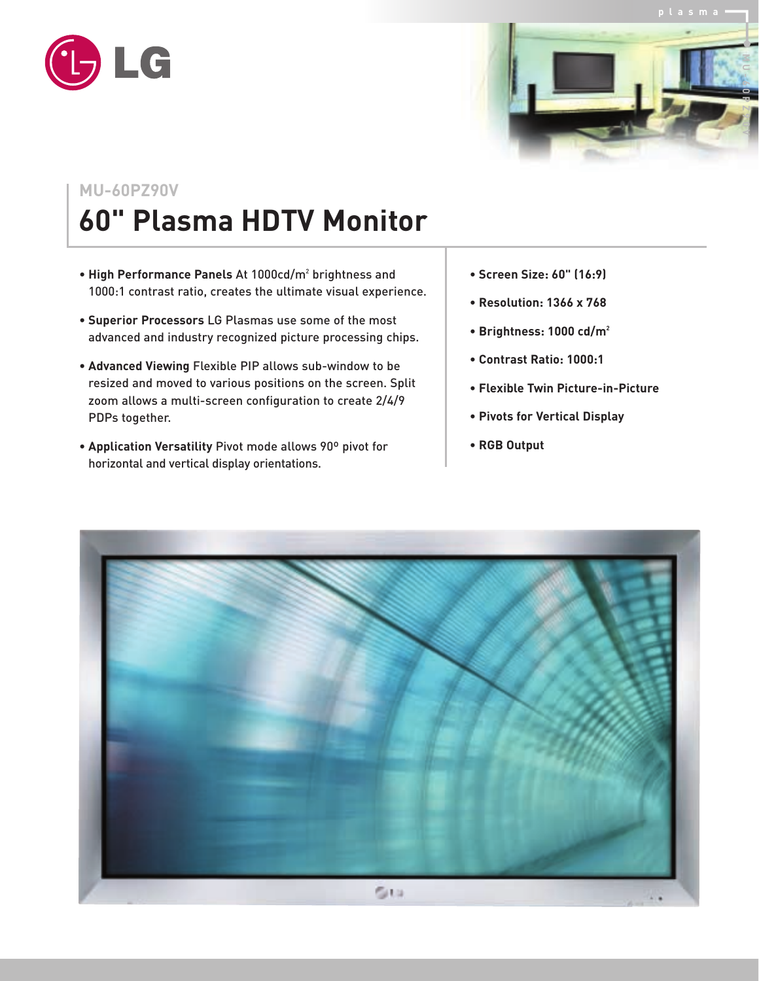



## **MU-60PZ90V**

## **60" Plasma HDTV Monitor**

- **High Performance Panels** At 1000cd/m2 brightness and 1000:1 contrast ratio, creates the ultimate visual experience.
- **Superior Processors** LG Plasmas use some of the most advanced and industry recognized picture processing chips.
- **Advanced Viewing** Flexible PIP allows sub-window to be resized and moved to various positions on the screen. Split zoom allows a multi-screen configuration to create 2/4/9 PDPs together.
- **Application Versatility** Pivot mode allows 90º pivot for horizontal and vertical display orientations.
- **Screen Size: 60" (16:9)**
- **Resolution: 1366 x 768**
- **Brightness: 1000 cd/m2**
- **Contrast Ratio: 1000:1**
- **Flexible Twin Picture-in-Picture**
- **Pivots for Vertical Display**
- **RGB Output**